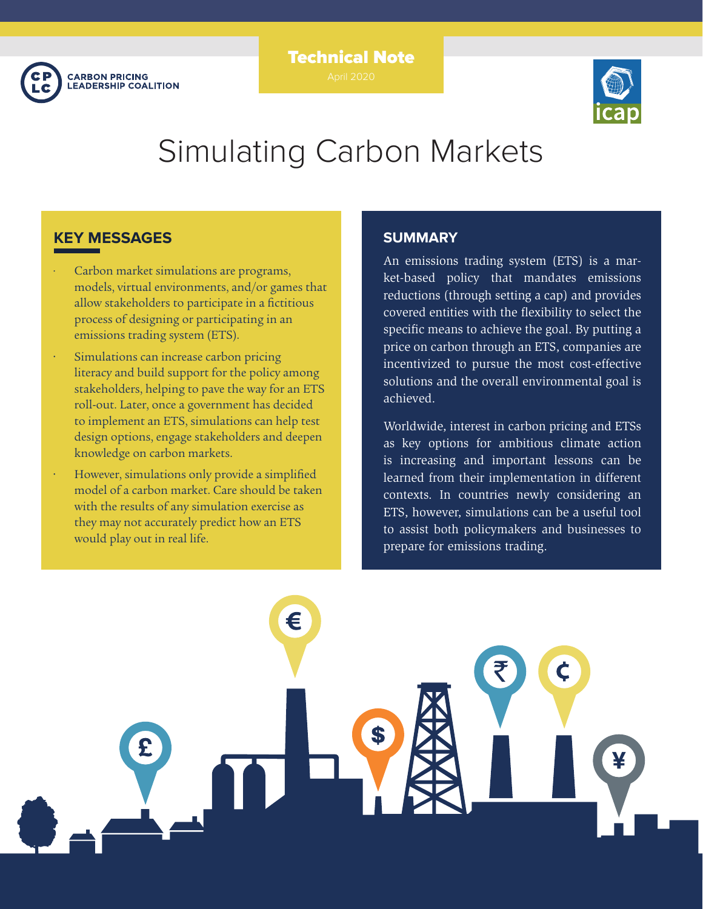

# Technical Note



# Simulating Carbon Markets

## **KEY MESSAGES**

- Carbon market simulations are programs, models, virtual environments, and/or games that allow stakeholders to participate in a fictitious process of designing or participating in an emissions trading system (ETS).
- Simulations can increase carbon pricing literacy and build support for the policy among stakeholders, helping to pave the way for an ETS roll-out. Later, once a government has decided to implement an ETS, simulations can help test design options, engage stakeholders and deepen knowledge on carbon markets.
- However, simulations only provide a simplified model of a carbon market. Care should be taken with the results of any simulation exercise as they may not accurately predict how an ETS would play out in real life.

## **SUMMARY**

An emissions trading system (ETS) is a market-based policy that mandates emissions reductions (through setting a cap) and provides covered entities with the flexibility to select the specific means to achieve the goal. By putting a price on carbon through an ETS, companies are incentivized to pursue the most cost-effective solutions and the overall environmental goal is achieved.

Worldwide, interest in carbon pricing and ETSs as key options for ambitious climate action is increasing and important lessons can be learned from their implementation in different contexts. In countries newly considering an ETS, however, simulations can be a useful tool to assist both policymakers and businesses to prepare for emissions trading.

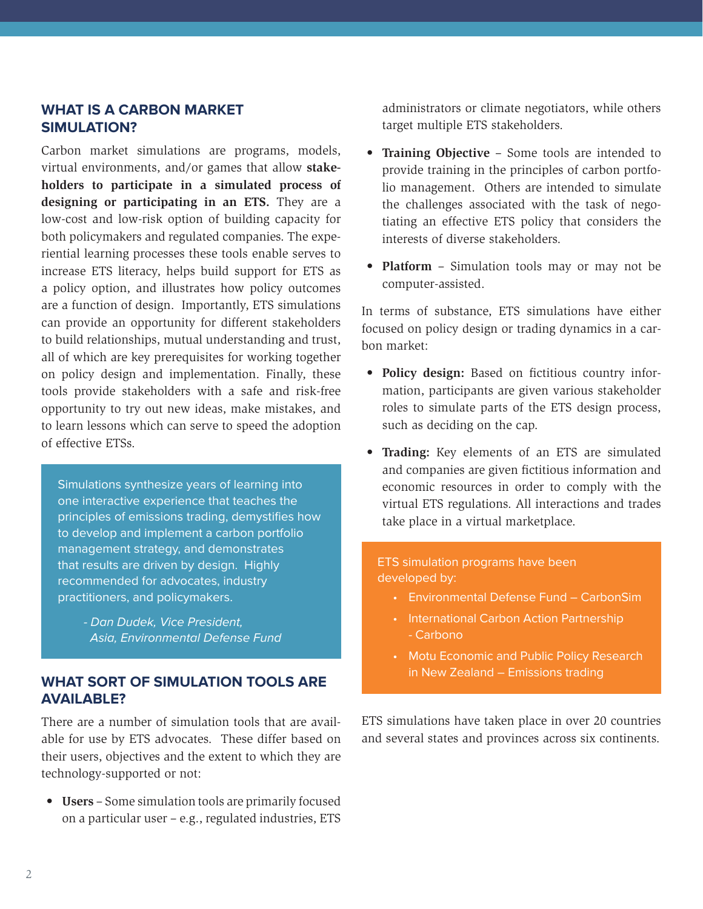## **WHAT IS A CARBON MARKET SIMULATION?**

Carbon market simulations are programs, models, virtual environments, and/or games that allow **stakeholders to participate in a simulated process of designing or participating in an ETS.** They are a low-cost and low-risk option of building capacity for both policymakers and regulated companies. The experiential learning processes these tools enable serves to increase ETS literacy, helps build support for ETS as a policy option, and illustrates how policy outcomes are a function of design. Importantly, ETS simulations can provide an opportunity for different stakeholders to build relationships, mutual understanding and trust, all of which are key prerequisites for working together on policy design and implementation. Finally, these tools provide stakeholders with a safe and risk-free opportunity to try out new ideas, make mistakes, and to learn lessons which can serve to speed the adoption of effective ETSs.

Simulations synthesize years of learning into one interactive experience that teaches the principles of emissions trading, demystifies how to develop and implement a carbon portfolio management strategy, and demonstrates that results are driven by design. Highly recommended for advocates, industry practitioners, and policymakers.

*- Dan Dudek, Vice President, Asia, Environmental Defense Fund*

## **WHAT SORT OF SIMULATION TOOLS ARE AVAILABLE?**

There are a number of simulation tools that are available for use by ETS advocates. These differ based on their users, objectives and the extent to which they are technology-supported or not:

**• Users** – Some simulation tools are primarily focused on a particular user – e.g., regulated industries, ETS

administrators or climate negotiators, while others target multiple ETS stakeholders.

- **• Training Objective** Some tools are intended to provide training in the principles of carbon portfolio management. Others are intended to simulate the challenges associated with the task of negotiating an effective ETS policy that considers the interests of diverse stakeholders.
- **• Platform** Simulation tools may or may not be computer-assisted.

In terms of substance, ETS simulations have either focused on policy design or trading dynamics in a carbon market:

- **• Policy design:** Based on fictitious country information, participants are given various stakeholder roles to simulate parts of the ETS design process, such as deciding on the cap.
- **• Trading:** Key elements of an ETS are simulated and companies are given fictitious information and economic resources in order to comply with the virtual ETS regulations. All interactions and trades take place in a virtual marketplace.

### ETS simulation programs have been developed by:

- Environmental Defense Fund CarbonSim
- International Carbon Action Partnership - Carbono
- Motu Economic and Public Policy Research in New Zealand – Emissions trading

ETS simulations have taken place in over 20 countries and several states and provinces across six continents.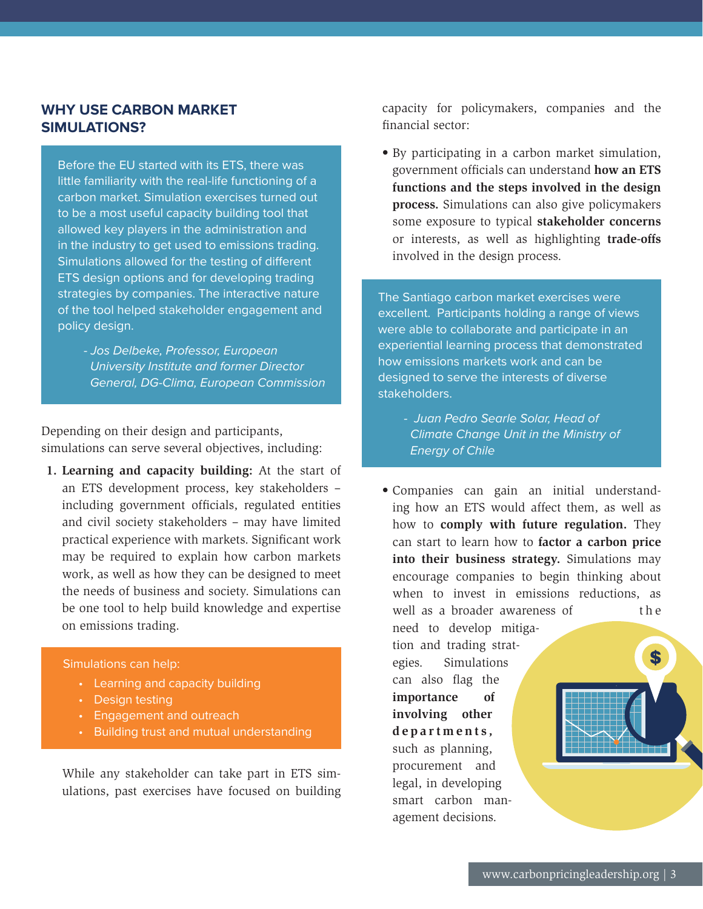## **WHY USE CARBON MARKET SIMULATIONS?**

Before the EU started with its ETS, there was little familiarity with the real-life functioning of a carbon market. Simulation exercises turned out to be a most useful capacity building tool that allowed key players in the administration and in the industry to get used to emissions trading. Simulations allowed for the testing of different ETS design options and for developing trading strategies by companies. The interactive nature of the tool helped stakeholder engagement and policy design.

*- Jos Delbeke, Professor, European University Institute and former Director General, DG-Clima, European Commission*

Depending on their design and participants, simulations can serve several objectives, including:

**1. Learning and capacity building:** At the start of an ETS development process, key stakeholders – including government officials, regulated entities and civil society stakeholders – may have limited practical experience with markets. Significant work may be required to explain how carbon markets work, as well as how they can be designed to meet the needs of business and society. Simulations can be one tool to help build knowledge and expertise on emissions trading.

#### Simulations can help:

- Learning and capacity building
- Design testing
- Engagement and outreach
- Building trust and mutual understanding

While any stakeholder can take part in ETS simulations, past exercises have focused on building capacity for policymakers, companies and the financial sector:

• By participating in a carbon market simulation, government officials can understand **how an ETS functions and the steps involved in the design process.** Simulations can also give policymakers some exposure to typical **stakeholder concerns** or interests, as well as highlighting **trade-offs** involved in the design process.

The Santiago carbon market exercises were excellent. Participants holding a range of views were able to collaborate and participate in an experiential learning process that demonstrated how emissions markets work and can be designed to serve the interests of diverse stakeholders.

- *Juan Pedro Searle Solar, Head of Climate Change Unit in the Ministry of Energy of Chile*
- Companies can gain an initial understanding how an ETS would affect them, as well as how to **comply with future regulation.** They can start to learn how to **factor a carbon price into their business strategy.** Simulations may encourage companies to begin thinking about when to invest in emissions reductions, as well as a broader awareness of the

need to develop mitigation and trading strategies. Simulations can also flag the **importance of involving other d e p a r t m e n t s ,**  such as planning, procurement and legal, in developing smart carbon management decisions.

\$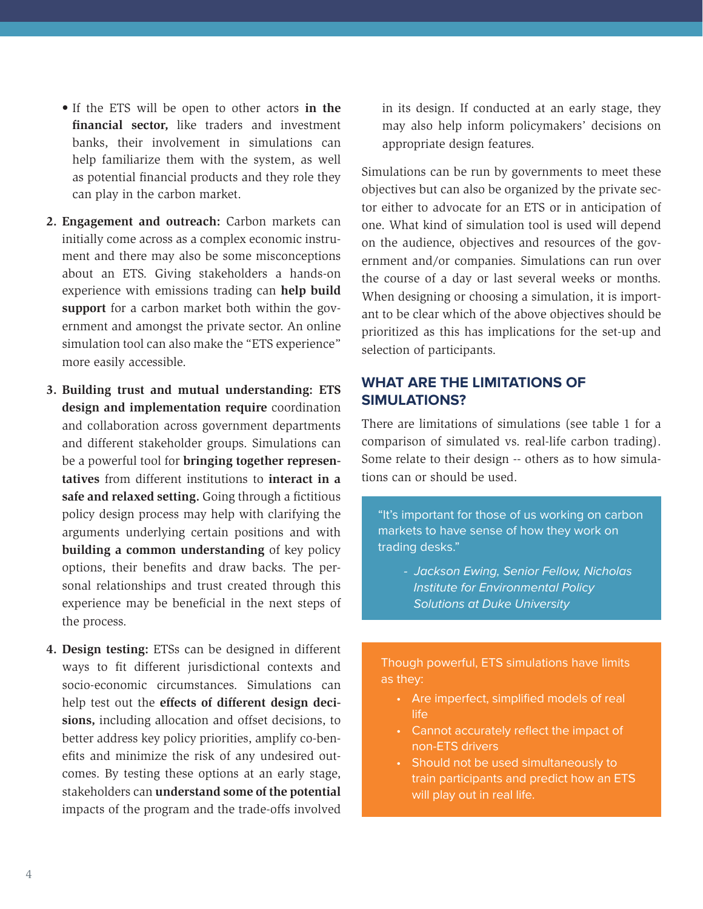- If the ETS will be open to other actors **in the financial sector,** like traders and investment banks, their involvement in simulations can help familiarize them with the system, as well as potential financial products and they role they can play in the carbon market.
- **2. Engagement and outreach:** Carbon markets can initially come across as a complex economic instrument and there may also be some misconceptions about an ETS. Giving stakeholders a hands-on experience with emissions trading can **help build support** for a carbon market both within the government and amongst the private sector. An online simulation tool can also make the "ETS experience" more easily accessible.
- **3. Building trust and mutual understanding: ETS design and implementation require** coordination and collaboration across government departments and different stakeholder groups. Simulations can be a powerful tool for **bringing together representatives** from different institutions to **interact in a safe and relaxed setting.** Going through a fictitious policy design process may help with clarifying the arguments underlying certain positions and with **building a common understanding** of key policy options, their benefits and draw backs. The personal relationships and trust created through this experience may be beneficial in the next steps of the process.
- **4. Design testing:** ETSs can be designed in different ways to fit different jurisdictional contexts and socio-economic circumstances. Simulations can help test out the **effects of different design decisions,** including allocation and offset decisions, to better address key policy priorities, amplify co-benefits and minimize the risk of any undesired outcomes. By testing these options at an early stage, stakeholders can **understand some of the potential**  impacts of the program and the trade-offs involved

in its design. If conducted at an early stage, they may also help inform policymakers' decisions on appropriate design features.

Simulations can be run by governments to meet these objectives but can also be organized by the private sector either to advocate for an ETS or in anticipation of one. What kind of simulation tool is used will depend on the audience, objectives and resources of the government and/or companies. Simulations can run over the course of a day or last several weeks or months. When designing or choosing a simulation, it is important to be clear which of the above objectives should be prioritized as this has implications for the set-up and selection of participants.

## **WHAT ARE THE LIMITATIONS OF SIMULATIONS?**

There are limitations of simulations (see table 1 for a comparison of simulated vs. real-life carbon trading). Some relate to their design -- others as to how simulations can or should be used.

"It's important for those of us working on carbon markets to have sense of how they work on trading desks."

*- Jackson Ewing, Senior Fellow, Nicholas Institute for Environmental Policy Solutions at Duke University*

Though powerful, ETS simulations have limits as they:

- Are imperfect, simplified models of real life
- Cannot accurately reflect the impact of non-ETS drivers
- Should not be used simultaneously to train participants and predict how an ETS will play out in real life.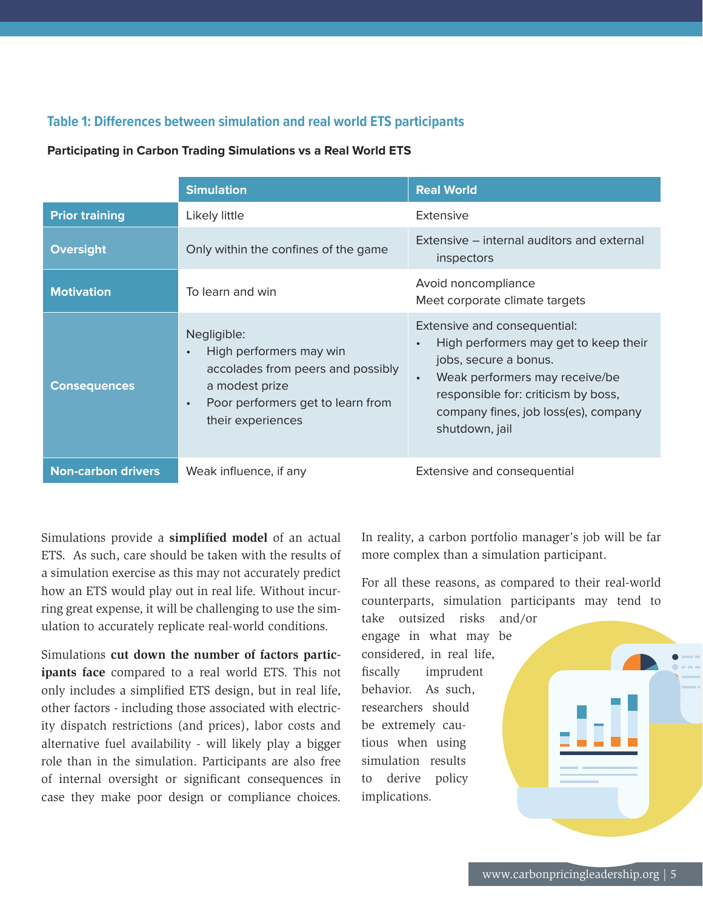## **Table 1: Differences between simulation and real world ETS participants**

#### **Participating in Carbon Trading Simulations vs a Real World ETS**

|                           | <b>Simulation</b>                                                                                                                                                                 | <b>Real World</b>                                                                                                                                                                                                                                           |
|---------------------------|-----------------------------------------------------------------------------------------------------------------------------------------------------------------------------------|-------------------------------------------------------------------------------------------------------------------------------------------------------------------------------------------------------------------------------------------------------------|
| <b>Prior training</b>     | Likely little                                                                                                                                                                     | Extensive                                                                                                                                                                                                                                                   |
| <b>Oversight</b>          | Only within the confines of the game                                                                                                                                              | Extensive – internal auditors and external<br>inspectors                                                                                                                                                                                                    |
| <b>Motivation</b>         | To learn and win                                                                                                                                                                  | Avoid noncompliance<br>Meet corporate climate targets                                                                                                                                                                                                       |
| <b>Consequences</b>       | Negligible:<br>High performers may win<br>$\bullet$<br>accolades from peers and possibly<br>a modest prize<br>Poor performers get to learn from<br>$\bullet$<br>their experiences | Extensive and consequential:<br>High performers may get to keep their<br>$\bullet$<br>jobs, secure a bonus.<br>Weak performers may receive/be<br>$\bullet$<br>responsible for: criticism by boss,<br>company fines, job loss(es), company<br>shutdown, jail |
| <b>Non-carbon drivers</b> | Weak influence, if any                                                                                                                                                            | Extensive and consequential                                                                                                                                                                                                                                 |

Simulations provide a **simplified model** of an actual ETS. As such, care should be taken with the results of a simulation exercise as this may not accurately predict how an ETS would play out in real life. Without incurring great expense, it will be challenging to use the simulation to accurately replicate real-world conditions.

Simulations **cut down the number of factors participants face** compared to a real world ETS. This not only includes a simplified ETS design, but in real life, other factors - including those associated with electricity dispatch restrictions (and prices), labor costs and alternative fuel availability - will likely play a bigger role than in the simulation. Participants are also free of internal oversight or significant consequences in case they make poor design or compliance choices.

In reality, a carbon portfolio manager's job will be far more complex than a simulation participant.

For all these reasons, as compared to their real-world counterparts, simulation participants may tend to take outsized risks and/or

engage in what may be considered, in real life, fiscally imprudent behavior. As such, researchers should be extremely cautious when using simulation results to derive policy implications.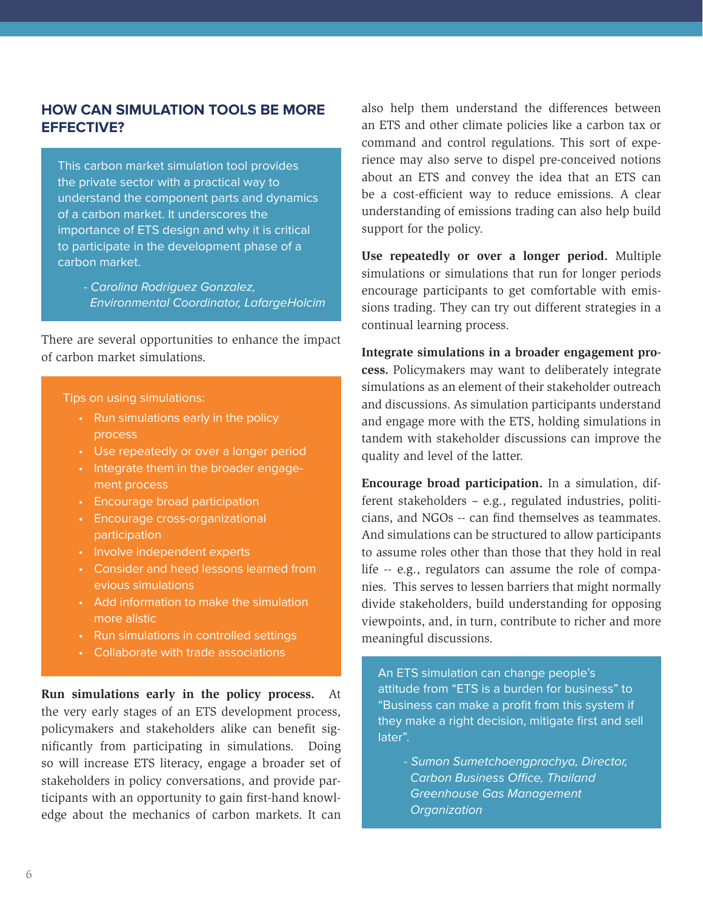## **HOW CAN SIMULATION TOOLS BE MORE EFFECTIVE?**

This carbon market simulation tool provides the private sector with a practical way to understand the component parts and dynamics of a carbon market. It underscores the importance of ETS design and why it is critical to participate in the development phase of a carbon market.

*- Carolina Rodriguez Gonzalez, Environmental Coordinator, LafargeHolcim*

There are several opportunities to enhance the impact of carbon market simulations.

#### Tips on using simulations:

- Run simulations early in the policy process
- Use repeatedly or over a longer period
- Integrate them in the broader engagement process
- Encourage broad participation
- Encourage cross-organizational participation
- Involve independent experts
- Consider and heed lessons learned from evious simulations
- Add information to make the simulation more alistic
- Run simulations in controlled settings
- Collaborate with trade associations

**Run simulations early in the policy process.** At the very early stages of an ETS development process, policymakers and stakeholders alike can benefit significantly from participating in simulations. Doing so will increase ETS literacy, engage a broader set of stakeholders in policy conversations, and provide participants with an opportunity to gain first-hand knowledge about the mechanics of carbon markets. It can

also help them understand the differences between an ETS and other climate policies like a carbon tax or command and control regulations. This sort of experience may also serve to dispel pre-conceived notions about an ETS and convey the idea that an ETS can be a cost-efficient way to reduce emissions. A clear understanding of emissions trading can also help build support for the policy.

**Use repeatedly or over a longer period.** Multiple simulations or simulations that run for longer periods encourage participants to get comfortable with emissions trading. They can try out different strategies in a continual learning process.

**Integrate simulations in a broader engagement process.** Policymakers may want to deliberately integrate simulations as an element of their stakeholder outreach and discussions. As simulation participants understand and engage more with the ETS, holding simulations in tandem with stakeholder discussions can improve the quality and level of the latter.

**Encourage broad participation.** In a simulation, different stakeholders – e.g., regulated industries, politicians, and NGOs -- can find themselves as teammates. And simulations can be structured to allow participants to assume roles other than those that they hold in real life -- e.g., regulators can assume the role of companies. This serves to lessen barriers that might normally divide stakeholders, build understanding for opposing viewpoints, and, in turn, contribute to richer and more meaningful discussions.

An ETS simulation can change people's attitude from "ETS is a burden for business" to "Business can make a profit from this system if they make a right decision, mitigate first and sell later".

*- Sumon Sumetchoengprachya, Director,*  Carbon Business Office, Thailand  *Greenhouse Gas Management Organization*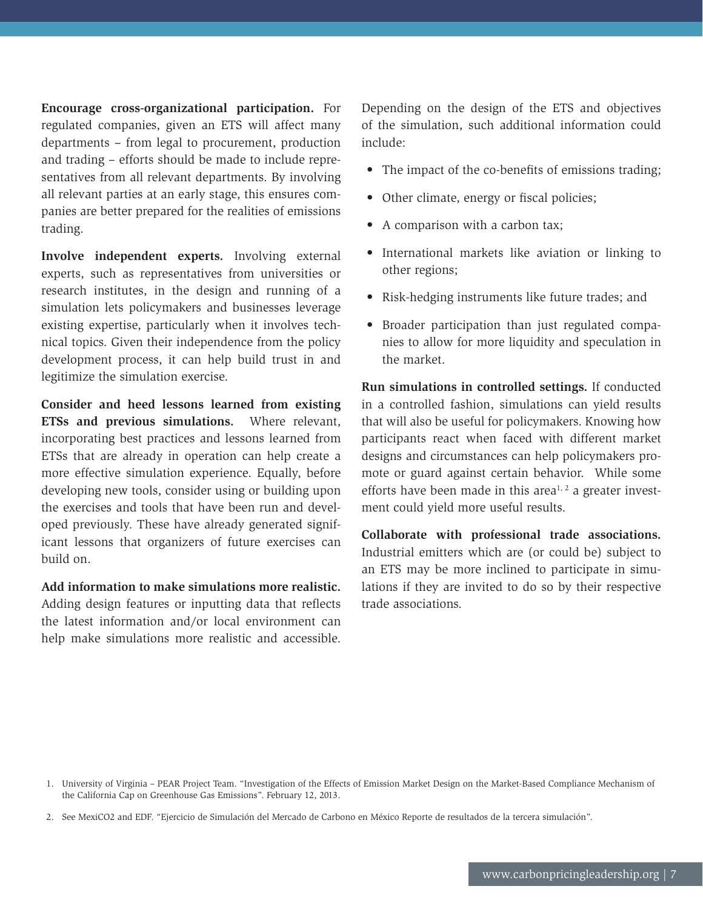**Encourage cross-organizational participation.** For regulated companies, given an ETS will affect many departments – from legal to procurement, production and trading – efforts should be made to include representatives from all relevant departments. By involving all relevant parties at an early stage, this ensures companies are better prepared for the realities of emissions trading.

**Involve independent experts.** Involving external experts, such as representatives from universities or research institutes, in the design and running of a simulation lets policymakers and businesses leverage existing expertise, particularly when it involves technical topics. Given their independence from the policy development process, it can help build trust in and legitimize the simulation exercise.

**Consider and heed lessons learned from existing ETSs and previous simulations.** Where relevant, incorporating best practices and lessons learned from ETSs that are already in operation can help create a more effective simulation experience. Equally, before developing new tools, consider using or building upon the exercises and tools that have been run and developed previously. These have already generated significant lessons that organizers of future exercises can build on.

**Add information to make simulations more realistic.** Adding design features or inputting data that reflects the latest information and/or local environment can help make simulations more realistic and accessible.

Depending on the design of the ETS and objectives of the simulation, such additional information could include:

- The impact of the co-benefits of emissions trading;
- Other climate, energy or fiscal policies;
- A comparison with a carbon tax;
- International markets like aviation or linking to other regions;
- Risk-hedging instruments like future trades; and
- Broader participation than just regulated companies to allow for more liquidity and speculation in the market.

**Run simulations in controlled settings.** If conducted in a controlled fashion, simulations can yield results that will also be useful for policymakers. Knowing how participants react when faced with different market designs and circumstances can help policymakers promote or guard against certain behavior. While some efforts have been made in this area<sup> $1, 2$ </sup> a greater investment could yield more useful results.

**Collaborate with professional trade associations.** Industrial emitters which are (or could be) subject to an ETS may be more inclined to participate in simulations if they are invited to do so by their respective trade associations.

<sup>1.</sup> University of Virginia – PEAR Project Team. "Investigation of the Effects of Emission Market Design on the Market-Based Compliance Mechanism of the California Cap on Greenhouse Gas Emissions". February 12, 2013.

<sup>2.</sup> See MexiCO2 and EDF. "Ejercicio de Simulación del Mercado de Carbono en México Reporte de resultados de la tercera simulación".